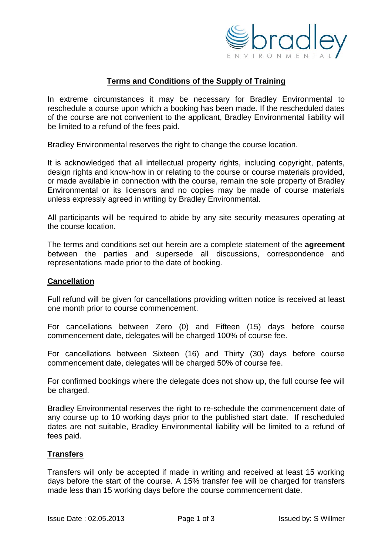

# **Terms and Conditions of the Supply of Training**

In extreme circumstances it may be necessary for Bradley Environmental to reschedule a course upon which a booking has been made. If the rescheduled dates of the course are not convenient to the applicant, Bradley Environmental liability will be limited to a refund of the fees paid.

Bradley Environmental reserves the right to change the course location.

It is acknowledged that all intellectual property rights, including copyright, patents, design rights and know-how in or relating to the course or course materials provided, or made available in connection with the course, remain the sole property of Bradley Environmental or its licensors and no copies may be made of course materials unless expressly agreed in writing by Bradley Environmental.

All participants will be required to abide by any site security measures operating at the course location.

The terms and conditions set out herein are a complete statement of the **agreement** between the parties and supersede all discussions, correspondence and representations made prior to the date of booking.

#### **Cancellation**

Full refund will be given for cancellations providing written notice is received at least one month prior to course commencement.

For cancellations between Zero (0) and Fifteen (15) days before course commencement date, delegates will be charged 100% of course fee.

For cancellations between Sixteen (16) and Thirty (30) days before course commencement date, delegates will be charged 50% of course fee.

For confirmed bookings where the delegate does not show up, the full course fee will be charged.

Bradley Environmental reserves the right to re-schedule the commencement date of any course up to 10 working days prior to the published start date. If rescheduled dates are not suitable, Bradley Environmental liability will be limited to a refund of fees paid.

#### **Transfers**

Transfers will only be accepted if made in writing and received at least 15 working days before the start of the course. A 15% transfer fee will be charged for transfers made less than 15 working days before the course commencement date.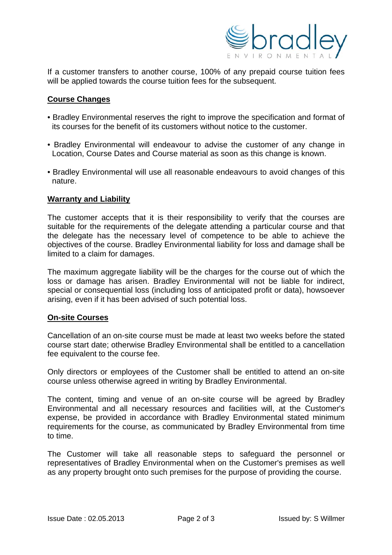

If a customer transfers to another course, 100% of any prepaid course tuition fees will be applied towards the course tuition fees for the subsequent.

## **Course Changes**

- Bradley Environmental reserves the right to improve the specification and format of its courses for the benefit of its customers without notice to the customer.
- Bradley Environmental will endeavour to advise the customer of any change in Location, Course Dates and Course material as soon as this change is known.
- Bradley Environmental will use all reasonable endeavours to avoid changes of this nature.

## **Warranty and Liability**

The customer accepts that it is their responsibility to verify that the courses are suitable for the requirements of the delegate attending a particular course and that the delegate has the necessary level of competence to be able to achieve the objectives of the course. Bradley Environmental liability for loss and damage shall be limited to a claim for damages.

The maximum aggregate liability will be the charges for the course out of which the loss or damage has arisen. Bradley Environmental will not be liable for indirect, special or consequential loss (including loss of anticipated profit or data), howsoever arising, even if it has been advised of such potential loss.

#### **On-site Courses**

Cancellation of an on-site course must be made at least two weeks before the stated course start date; otherwise Bradley Environmental shall be entitled to a cancellation fee equivalent to the course fee.

Only directors or employees of the Customer shall be entitled to attend an on-site course unless otherwise agreed in writing by Bradley Environmental.

The content, timing and venue of an on-site course will be agreed by Bradley Environmental and all necessary resources and facilities will, at the Customer's expense, be provided in accordance with Bradley Environmental stated minimum requirements for the course, as communicated by Bradley Environmental from time to time.

The Customer will take all reasonable steps to safeguard the personnel or representatives of Bradley Environmental when on the Customer's premises as well as any property brought onto such premises for the purpose of providing the course.